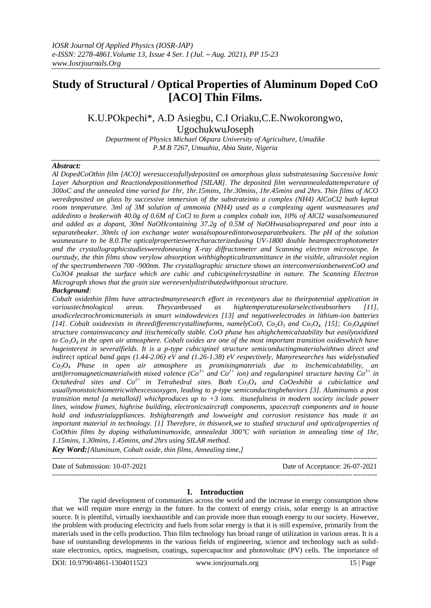# **Study of Structural / Optical Properties of Aluminum Doped CoO [ACO] Thin Films.**

K.U.POkpechi\*, A.D Asiegbu, C.I Oriaku,C.E.Nwokorongwo, UgochukwuJoseph

*Department of Physics Michael Okpara University of Agriculture, Umudike P.M.B 7267, Umuahia, Abia State, Nigeria*

#### *Abstract:*

*Al DopedCoOthin film [ACO] weresuccessfullydeposited on amorphous glass substratesusing Successive Ionic*  Layer Adsorption and Reactiondepositionmethod [SILAR]. The deposited film wereannealedattemperature of *300oC and the annealed time varied for 1hr, 1hr.15mins, 1hr.30mins, 1hr.45mins and 2hrs. Thin films of ACO weredeposited on glass by successive immersion of the substrateinto a complex (NH4) AlCoCl2 bath keptat room temperature. 3ml of 3M solution of ammonia (NH4) used as a complexing agent wasmeasures and addedinto a beakerwith 40.0g of 0.6M of CoCl to form a complex cobalt ion, 10% of AlCl2 wasalsomeasured and added as a dopant, 30ml NaOHcontaining 37.2g of 0.5M of NaOHwasalsoprepared and pour into a separatebeaker. 30mls of ion exchange water wasalsopouredintotwoseparatebeakers. The pH of the solution wasmeasure to be 8.0.The opticalpropertieswerecharacterizedusing UV-1800 double beamspectrophotometer and the crystallographicstudiesweredoneusing X-ray diffractometer and Scanning electron microscope. In ourstudy, the thin films show verylow absorption withhighopticaltransmittance in the visible, ultraviolet region of the spectrumbetween 700 -900nm. The crystallographic structure shows an interconversionbetweenCoO and Co3O4 peaksat the surface which are cubic and cubicspinelcrystalline in nature. The Scanning Electron Micrograph shows that the grain size wereevenlydistributedwithporous structure.*

#### *Background:*

*Cobalt oxidethin films have attractedmanyresearch effort in recentyears due to theirpotential application in varioustechnological areas. Theycanbeused as hightemperaturesolarselectiveabsorbers [11], anodicelectrochromicmaterials in smart windowdevices [13] and negativeelectrodes in lithium-ion batteries [14]. Cobalt oxideexists in threedifferentcrystallineforms, namelyCoO, Co<sub>2</sub>O<sub>3</sub> and Co<sub>3</sub>O<sub>4</sub>. [15]; Co<sub>3</sub>O<sub>4</sub>spinel structure containsvacancy and itischemically stable. CoO phase has ahighchemicalstability but easilyoxidized to Co3O<sup>4</sup> in the open air atmosphere. Cobalt oxides are one of the most important transition oxideswhich have hugeinterest in severalfields. It is a p-type cubicspinel structure semiconductingmaterialwithtwo direct and indirect optical band gaps (1.44-2.06) eV and (1.26-1.38) eV respectively, Manyresearches has widelystudied Co3O4 Phase in open air atmosphere as promisingmaterials due to itschemicalstability, an antiferromagneticmaterialwith mixed valence (Co3+ and Co2+ ion) and regularspinel structure having Co3+ in Octahedral sites and*  $Co^{2+}$  *in Tetrahedral sites. Both*  $Co_3O_4$  *and*  $CoOexhibit$  *a cubiclattice and usuallynonstoichiometricwithexcessoxygen, leading to p-type semiconductingbehaviors [3]. Aluminumis a post transition metal [a metalloid] whichproduces up to +3 ions. itsusefulness in modern society include power lines, window frames, highrise building, electronicsaircraft components, spacecraft components and in house hold and industrialappliances. Itshighstrength and lowweight and corrosion resistance has made it an important material in technology. [1] Therefore, in thiswork,we to studied structural and opticalproperties of CoOthin films by doping withaluminumoxide, annealedat 300°C with variation in annealing time of 1hr, 1.15mins, 1.30mins, 1.45mins, and 2hrs using SILAR method.*

*Key Word:[Aluminum, Cobalt oxide, thin films, Annealing time,]*

--------------------------------------------------------------------------------------------------------------------------------------- Date of Submission: 10-07-2021 Date of Acceptance: 26-07-2021 ---------------------------------------------------------------------------------------------------------------------------------------

#### **I. Introduction**

The rapid development of communities across the world and the increase in energy consumption show that we will require more energy in the future. In the context of energy crisis, solar energy is an attractive source. It is plentiful, virtually inexhaustible and can provide more than enough energy to our society. However, the problem with producing electricity and fuels from solar energy is that it is still expensive, primarily from the materials used in the cells production. Thin film technology has broad range of utilization in various areas. It is a base of outstanding developments in the various fields of engineering, science and technology such as solidstate electronics, optics, magnetism, coatings, supercapacitor and photovoltaic (PV) cells. The importance of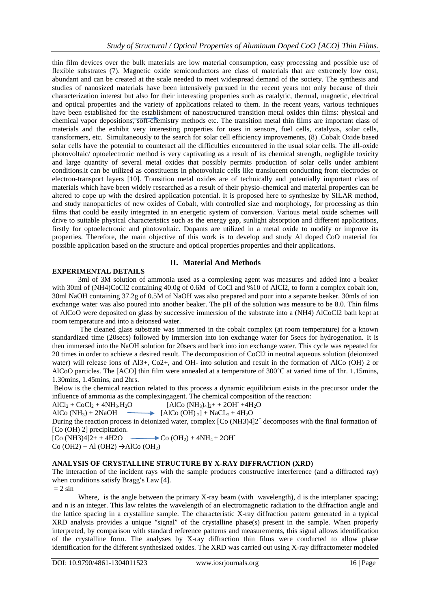thin film devices over the bulk materials are low material consumption, easy processing and possible use of flexible substrates (7). Magnetic oxide semiconductors are class of materials that are extremely low cost, abundant and can be created at the scale needed to meet widespread demand of the society. The synthesis and studies of nanosized materials have been intensively pursued in the recent years not only because of their characterization interest but also for their interesting properties such as catalytic, thermal, magnetic, electrical and optical properties and the variety of applications related to them. In the recent years, various techniques have been established for the establishment of nanostructured transition metal oxides thin films: physical and chemical vapor depositions, soft-chemistry methods etc. The transition metal thin films are important class of materials and the exhibit very interesting properties for uses in sensors, fuel cells, catalysis, solar cells, transformers, etc. Simultaneously to the search for solar cell efficiency improvements, (8) .Cobalt Oxide based solar cells have the potential to counteract all the difficulties encountered in the usual solar cells. The all-oxide photovoltaic/ optoelectronic method is very captivating as a result of its chemical strength, negligible toxicity and large quantity of several metal oxides that possibly permits production of solar cells under ambient conditions.it can be utilized as constituents in photovoltaic cells like translucent conducting front electrodes or electron-transport layers [10]. Transition metal oxides are of technically and potentially important class of materials which have been widely researched as a result of their physio-chemical and material properties can be altered to cope up with the desired application potential. It is proposed here to synthesize by SILAR method, and study nanoparticles of new oxides of Cobalt, with controlled size and morphology, for processing as thin films that could be easily integrated in an energetic system of conversion. Various metal oxide schemes will drive to suitable physical characteristics such as the energy gap, sunlight absorption and different applications, firstly for optoelectronic and photovoltaic. Dopants are utilized in a metal oxide to modify or improve its properties. Therefore, the main objective of this work is to develop and study Al doped CoO material for possible application based on the structure and optical properties properties and their applications.

## **II. Material And Methods**

#### **EXPERIMENTAL DETAILS**

3ml of 3M solution of ammonia used as a complexing agent was measures and added into a beaker with 30ml of (NH4)CoCl2 containing 40.0g of 0.6M of CoCl and %10 of AlCl2, to form a complex cobalt ion, 30ml NaOH containing 37.2g of 0.5M of NaOH was also prepared and pour into a separate beaker. 30mls of ion exchange water was also poured into another beaker. The pH of the solution was measure to be 8.0. Thin films of AlCoO were deposited on glass by successive immersion of the substrate into a (NH4) AlCoCl2 bath kept at room temperature and into a deionsed water.

The cleaned glass substrate was immersed in the cobalt complex (at room temperature) for a known standardized time (20secs) followed by immersion into ion exchange water for 5secs for hydrogenation. It is then immersed into the NaOH solution for 20secs and back into ion exchange water. This cycle was repeated for 20 times in order to achieve a desired result. The decomposition of CoCl2 in neutral aqueous solution (deionized water) will release ions of Al3+, Co2+, and OH- into solution and result in the formation of AlCo (OH) 2 or AlCoO particles. The [ACO] thin film were annealed at a temperature of 300°C at varied time of 1hr. 1.15mins, 1.30mins, 1.45mins, and 2hrs.

Below is the chemical reaction related to this process a dynamic equilibrium exists in the precursor under the influence of ammonia as the complexingagent. The chemical composition of the reaction:

 $AICl<sub>2</sub> + CoCl<sub>2</sub> + 4NH<sub>3</sub>.H<sub>2</sub>O$  $[AlCo (NH<sub>3</sub>)<sub>4</sub>]<sub>2</sub> + 2OH^- +4H<sub>2</sub>O$ 

AlCo (NH<sub>3</sub>) + 2NaOH  $\longrightarrow$  [AlCo (OH) <sub>2</sub>] + NaCL<sub>2</sub> + 4H<sub>2</sub>O

During the reaction process in deionized water, complex [Co (NH3)4]2<sup>+</sup> decomposes with the final formation of [Co (OH) 2] precipitation.

 $[Co (NH3)4]2+ +4H2O \longrightarrow Co (OH<sub>2</sub>) +4NH<sub>4</sub> + 2OH$ 

 $Co(OH2) + Al(OH2) \rightarrow AlCo(OH<sub>2</sub>)$ 

## **ANALYSIS OF CRYSTALLINE STRUCTURE BY X-RAY DIFFRACTION (XRD)**

The interaction of the incident rays with the sample produces constructive interference (and a diffracted ray) when conditions satisfy Bragg's Law [4].

 $= 2 \sin$ 

Where, is the angle between the primary X-ray beam (with wavelength), d is the interplaner spacing; and n is an integer. This law relates the wavelength of an electromagnetic radiation to the diffraction angle and the lattice spacing in a crystalline sample. The characteristic X-ray diffraction pattern generated in a typical XRD analysis provides a unique "signal" of the crystalline phase(s) present in the sample. When properly interpreted, by comparison with standard reference patterns and measurements, this signal allows identification of the crystalline form. The analyses by X-ray diffraction thin films were conducted to allow phase identification for the different synthesized oxides. The XRD was carried out using X-ray diffractometer modeled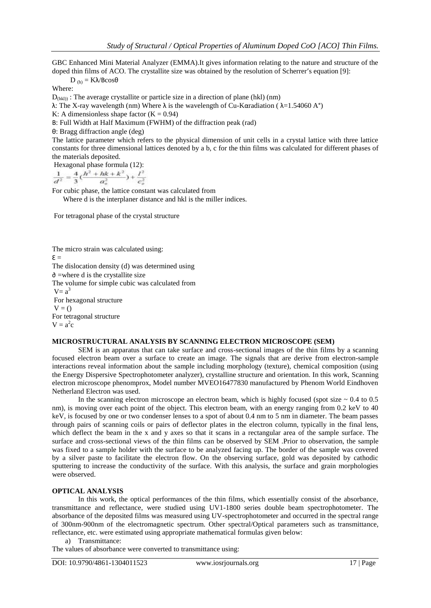GBC Enhanced Mini Material Analyzer (EMMA).It gives information relating to the nature and structure of the doped thin films of ACO. The crystallite size was obtained by the resolution of Scherrer's equation [9]:

 $D_{(h)} = K\lambda/BCos\theta$ 

Where:

 $D_{(hkl)}$ : The average crystallite or particle size in a direction of plane (hkl) (nm)

λ: The X-ray wavelength (nm) Where  $\lambda$  is the wavelength of Cu-Kαradiation ( $\lambda = 1.54060 \text{ A}^{\circ}$ )

K: A dimensionless shape factor  $(K = 0.94)$ 

В: Full Width at Half Maximum (FWHM) of the diffraction peak (rad)

θ: Bragg diffraction angle (deg)

The lattice parameter which refers to the physical dimension of unit cells in a crystal lattice with three lattice constants for three dimensional lattices denoted by a b, c for the thin films was calculated for different phases of the materials deposited.

Hexagonal phase formula (12):<br> $\frac{1}{d^2} = \frac{4}{3} (\frac{h^2 + hk + k^2}{a_o^2}) + \frac{I^2}{c_o^2}$ 

For cubic phase, the lattice constant was calculated from Where d is the interplaner distance and hkl is the miller indices.

For tetragonal phase of the crystal structure

The micro strain was calculated using:  $\epsilon =$ The dislocation density (d) was determined using ∂ =where d is the crystallite size The volume for simple cubic was calculated from  $V = a^3$ For hexagonal structure  $V = ()$ For tetragonal structure  $V = a^2c$ 

#### **MICROSTRUCTURAL ANALYSIS BY SCANNING ELECTRON MICROSCOPE (SEM)**

SEM is an apparatus that can take surface and cross-sectional images of the thin films by a scanning focused electron beam over a surface to create an image. The signals that are derive from electron-sample interactions reveal information about the sample including morphology (texture), chemical composition (using the Energy Dispersive Spectrophotometer analyzer), crystalline structure and orientation. In this work, Scanning electron microscope phenomprox, Model number MVEO16477830 manufactured by Phenom World Eindhoven Netherland Electron was used.

In the scanning electron microscope an electron beam, which is highly focused (spot size  $\sim 0.4$  to 0.5 nm), is moving over each point of the object. This electron beam, with an energy ranging from 0.2 keV to 40 keV, is focused by one or two condenser lenses to a spot of about 0.4 nm to 5 nm in diameter. The beam passes through pairs of scanning coils or pairs of deflector plates in the electron column, typically in the final lens, which deflect the beam in the x and y axes so that it scans in a rectangular area of the sample surface. The surface and cross-sectional views of the thin films can be observed by SEM .Prior to observation, the sample was fixed to a sample holder with the surface to be analyzed facing up. The border of the sample was covered by a silver paste to facilitate the electron flow. On the observing surface, gold was deposited by cathodic sputtering to increase the conductivity of the surface. With this analysis, the surface and grain morphologies were observed.

## **OPTICAL ANALYSIS**

In this work, the optical performances of the thin films, which essentially consist of the absorbance, transmittance and reflectance, were studied using UV1-1800 series double beam spectrophotometer. The absorbance of the deposited films was measured using UV-spectrophotometer and occurred in the spectral range of 300nm-900nm of the electromagnetic spectrum. Other spectral/Optical parameters such as transmittance, reflectance, etc. were estimated using appropriate mathematical formulas given below:

a) Transmittance:

The values of absorbance were converted to transmittance using: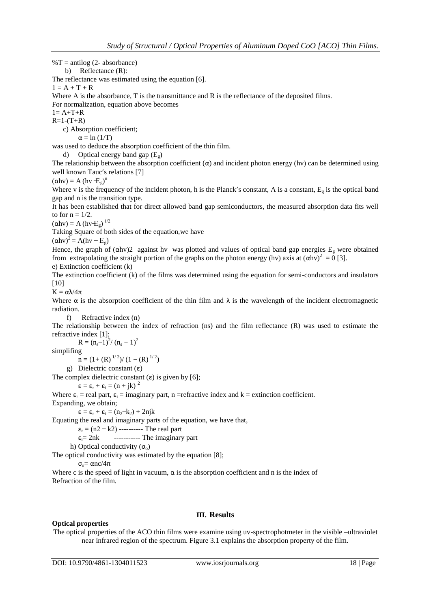$\%T = \text{antilog } (2 \text{- absorbance})$ 

b) Reflectance (R):

The reflectance was estimated using the equation [6].

 $1 = A + T + R$ 

Where A is the absorbance, T is the transmittance and R is the reflectance of the deposited films.

For normalization, equation above becomes

 $1 = A + T + R$  $R=1-(T+R)$ 

c) Absorption coefficient;

 $\alpha = \ln(1/T)$ 

was used to deduce the absorption coefficient of the thin film.

d) Optical energy band gap  $(E<sub>g</sub>)$ 

The relationship between the absorption coefficient  $(\alpha)$  and incident photon energy (hv) can be determined using well known Tauc's relations [7]

 $(\alpha$ hv $) = A$  (hv $-E_g$ )<sup>n</sup>

Where v is the frequency of the incident photon, h is the Planck's constant, A is a constant,  $E_g$  is the optical band gap and n is the transition type.

It has been established that for direct allowed band gap semiconductors, the measured absorption data fits well to for  $n = 1/2$ .

 $(\alpha$ hv $) = A (hv + E_g)^{1/2}$ 

Taking Square of both sides of the equation,we have

 $(\alpha$ hv<sup>2</sup> = A(hv – E<sub>g</sub>)

Hence, the graph of  $(\alpha hy)2$  against hy was plotted and values of optical band gap energies  $E<sub>g</sub>$  were obtained from extrapolating the straight portion of the graphs on the photon energy (hv) axis at  $(\alpha h v)^2 = 0$  [3].

e) Extinction coefficient (k)

The extinction coefficient (k) of the films was determined using the equation for semi-conductors and insulators [10]

 $K = \alpha \lambda/4\pi$ 

Where  $\alpha$  is the absorption coefficient of the thin film and  $\lambda$  is the wavelength of the incident electromagnetic radiation.

f) Refractive index (n)

The relationship between the index of refraction (ns) and the film reflectance (R) was used to estimate the refractive index [1];

 $R = (n_s-1)^2/(n_s+1)^2$ 

simplifing

 $n = (1 + (R)^{1/2})/(1 - (R)^{1/2})$ 

g) Dielectric constant  $(\epsilon)$ 

The complex dielectric constant  $(\varepsilon)$  is given by [6];

 $\epsilon = \epsilon_r + \epsilon_i = (n + jk)^2$ 

Where  $\varepsilon_r$  = real part,  $\varepsilon_i$  = imaginary part, n = refractive index and k = extinction coefficient.

Expanding, we obtain;

 $\epsilon = \epsilon_r + \epsilon_i = (n_2 - k_2) + 2njk$ 

Equating the real and imaginary parts of the equation, we have that,

 $\varepsilon_r = (n2 - k2)$  ---------- The real part

 $\varepsilon_i = 2nk$  ----------- The imaginary part

h) Optical conductivity  $(\sigma_0)$ 

The optical conductivity was estimated by the equation [8];

 $σ<sub>o</sub> = αnc/4π$ 

Where c is the speed of light in vacuum,  $\alpha$  is the absorption coefficient and n is the index of Refraction of the film.

#### **Optical properties**

**III. Results**

The optical properties of the ACO thin films were examine using uv-spectrophotmeter in the visible –ultraviolet near infrared region of the spectrum. Figure 3.1 explains the absorption property of the film.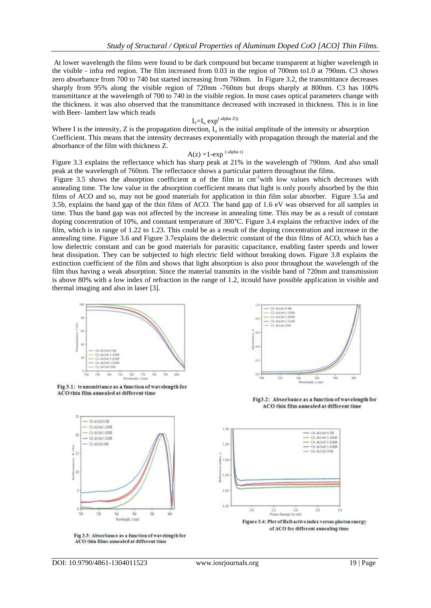At lower wavelength the films were found to be dark compound but became transparent at higher wavelength in the visible - infra red region. The film increased from 0.03 in the region of 700nm to1.0 at 790nm. C3 shows zero absorbance from 700 to 740 but started increasing from 760nm. In Figure 3.2, the transmittance decreases sharply from 95% along the visible region of 720nm -760nm but drops sharply at 800nm. C3 has 100% transmittance at the wavelength of 700 to 740 in the visible region. In most cases optical parameters change with the thickness. it was also observed that the transmittance decreased with increased in thickness. This is in line with Beer- lambert law which reads

$$
I_z = I_o \exp^{(-alpha Z))}
$$

Where I is the intensity, Z is the propagation direction,  $I_0$  is the initial amplitude of the intensity or absorption Coefficient. This means that the intensity decreases exponentially with propagation through the material and the absorbance of the film with thickness Z.

## $A(z) = 1$ -exp  $\binom{-alpha z}{ }$

Figure 3.3 explains the reflectance which has sharp peak at 21% in the wavelength of 790nm. And also small peak at the wavelength of 760nm. The reflectance shows a particular pattern throughout the films.

Figure 3.5 shows the absorption coefficient  $\alpha$  of the film in cm<sup>-1</sup>with low values which decreases with annealing time. The low value in the absorption coefficient means that light is only poorly absorbed by the thin films of ACO and so, may not be good materials for application in thin film solar absorber. Figure 3.5a and 3.5b, explains the band gap of the thin films of ACO. The band gap of 1.6 eV was observed for all samples in time. Thus the band gap was not affected by the increase in annealing time. This may be as a result of constant doping concentration of 10%, and constant temperature of 300°C. Figure 3.4 explains the refractive index of the film, which is in range of 1.22 to 1.23. This could be as a result of the doping concentration and increase in the annealing time. Figure 3.6 and Figure 3.7explains the dielectric constant of the thin films of ACO, which has a low dielectric constant and can be good materials for parasitic capacitance, enabling faster speeds and lower heat dissipation. They can be subjected to high electric field without breaking down. Figure 3.8 explains the extinction coefficient of the film and shows that light absorption is also poor throughout the wavelength of the film thus having a weak absorption. Since the material transmits in the visible band of 720nm and transmission is above 80% with a low index of refraction in the range of 1.2, itcould have possible application in visible and thermal imaging and also in laser [3].







Fig3.2: Absorbance as a function of wavelength for ACO thin film annealed at different time



Fig 3.3: Absorbance as a function of wavelength for ACO thin films annealed at different time



Figure 3.4: Plot of Refractive index versus photon energy of ACO for different annealing time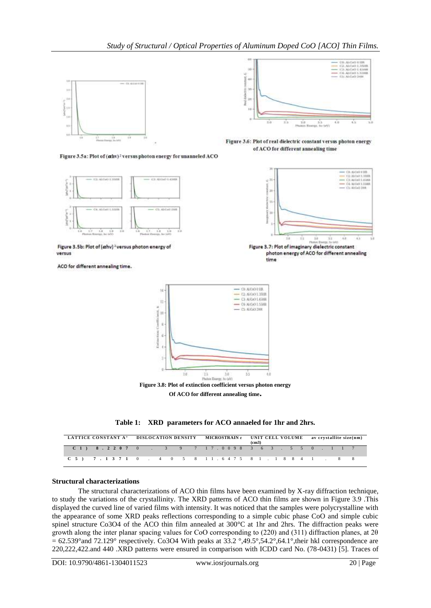

Figure 3.5a: Plot of (ahv)<sup>2</sup> versus photon energy for unanneled ACO



зü **Gali** 

(2) (McGo) || IBR<br>(2) (McGo) || XVIB<br>(3) (McGo) || XVIBR<br>(4) (McGo) || XVIBR

Figure 3.6: Plot of real dielectric constant versus photon energy of ACO for different annealing time



photon energy of ACO for different annealing

time

Figure 3.5b: Plot of  $(\alpha h v)^2$  versus photon energy of versus

ACO for different annealing time.



**Figure 3.8: Plot of extinction coefficient versus photon energy Of ACO for different annealing time.**



| LATTICE CONSTANT A <sup>o</sup> DISLOCATION DENSITY MICROSTRAIN $\varepsilon$ UNIT CELL VOLUME av crystallite size(nm) |  |  |  |  |  |  | (c <sub>m3</sub> ) |  |  |  |  |  |  |
|------------------------------------------------------------------------------------------------------------------------|--|--|--|--|--|--|--------------------|--|--|--|--|--|--|
| $C$ 1) 8.2207 0 . 3 9 7 17.0098 3 6 3 . 5 5 0 . 1 1 7                                                                  |  |  |  |  |  |  |                    |  |  |  |  |  |  |
| C 5 ) 7 . 1 3 7 1 0 . 4 0 5 8 1 1 . 6 4 7 5 8 1 . 1 8 8 4 1 . 8 8                                                      |  |  |  |  |  |  |                    |  |  |  |  |  |  |

#### **Structural characterizations**

The structural characterizations of ACO thin films have been examined by X-ray diffraction technique, to study the variations of the crystallinity. The XRD patterns of ACO thin films are shown in Figure 3.9 .This displayed the curved line of varied films with intensity. It was noticed that the samples were polycrystalline with the appearance of some XRD peaks reflections corresponding to a simple cubic phase CoO and simple cubic spinel structure Co3O4 of the ACO thin film annealed at 300°C at 1hr and 2hrs. The diffraction peaks were growth along the inter planar spacing values for CoO corresponding to (220) and (311) diffraction planes, at 2θ  $= 62.539^{\circ}$  and 72.129° respectively. Co3O4 With peaks at 33.2°,49.5°,54.2°,64.1°, their hkl correspondence are 220,222,422.and 440 .XRD patterns were ensured in comparison with ICDD card No. (78-0431) [5]. Traces of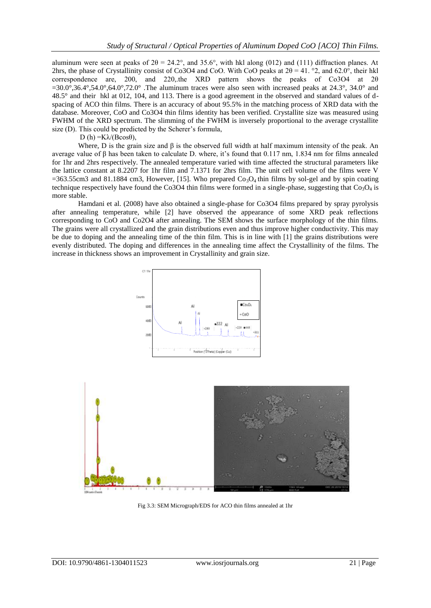aluminum were seen at peaks of  $2\theta = 24.2^{\circ}$ , and 35.6°, with hkl along (012) and (111) diffraction planes. At 2hrs, the phase of Crystallinity consist of Co3O4 and CoO. With CoO peaks at  $2\theta = 41$ , °2, and 62.0°, their hkl correspondence are, 200, and 220,.the XRD pattern shows the peaks of Co3O4 at 2θ  $=30.0^{\circ}$ ,36.4°,54.0°,64.0°,72.0°. The aluminum traces were also seen with increased peaks at 24.3°, 34.0° and 48.5° and their hkl at 012, 104, and 113. There is a good agreement in the observed and standard values of dspacing of ACO thin films. There is an accuracy of about 95.5% in the matching process of XRD data with the database. Moreover, CoO and Co3O4 thin films identity has been verified. Crystallite size was measured using FWHM of the XRD spectrum. The slimming of the FWHM is inversely proportional to the average crystallite size (D). This could be predicted by the Scherer's formula,

D (h) = $K\lambda/(B\cos\theta)$ ,

Where, D is the grain size and  $\beta$  is the observed full width at half maximum intensity of the peak. An average value of β has been taken to calculate D. where, it's found that  $0.117$  nm,  $1.834$  nm for films annealed for 1hr and 2hrs respectively. The annealed temperature varied with time affected the structural parameters like the lattice constant at 8.2207 for 1hr film and 7.1371 for 2hrs film. The unit cell volume of the films were V  $=363.55cm3$  and 81.1884 cm3, However, [15]. Who prepared  $Co<sub>3</sub>O<sub>4</sub>$  thin films by sol-gel and by spin coating technique respectively have found the Co3O4 thin films were formed in a single-phase, suggesting that  $Co_3O_4$  is more stable.

Hamdani et al. (2008) have also obtained a single-phase for Co3O4 films prepared by spray pyrolysis after annealing temperature, while [2] have observed the appearance of some XRD peak reflections corresponding to CoO and Co2O4 after annealing. The SEM shows the surface morphology of the thin films. The grains were all crystallized and the grain distributions even and thus improve higher conductivity. This may be due to doping and the annealing time of the thin film. This is in line with [1] the grains distributions were evenly distributed. The doping and differences in the annealing time affect the Crystallinity of the films. The increase in thickness shows an improvement in Crystallinity and grain size.





Fig 3.3: SEM Micrograph/EDS for ACO thin films annealed at 1hr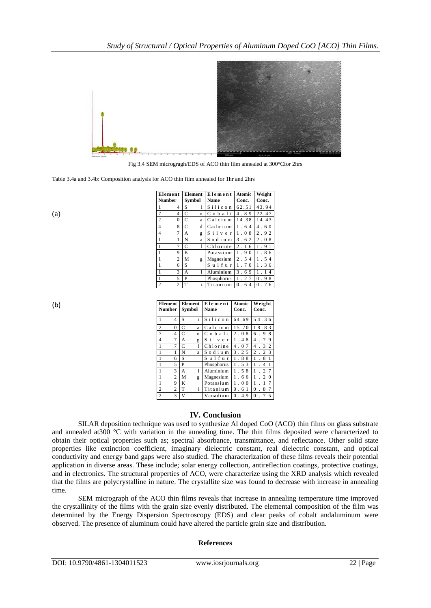

Fig 3.4 SEM microgragh/EDS of ACO thin film annealed at 300°Cfor 2hrs

Table 3.4a and 3.4b: Composition analysis for ACO thin film annealed for 1hr and 2hrs

(a)

(b)

| Element                      | <b>Element</b> | Element           | Atomic                                | Weight          |  |  |
|------------------------------|----------------|-------------------|---------------------------------------|-----------------|--|--|
| <b>Number</b>                | Symbol         | <b>Name</b>       | Conc.                                 | Conc.           |  |  |
| 1<br>4                       | i<br>S         | Silicon           | 62.51                                 | 43.94           |  |  |
| $\overline{7}$<br>4          | C<br>$\circ$   | $C$ o $b$ a $l$ t | 4.89                                  | 22.47           |  |  |
| $\overline{c}$<br>0          | C<br>a         | $C$ alcium        | 14.38                                 | 14.43           |  |  |
| $\overline{\mathbf{4}}$<br>8 | C<br>d         | Cadmium           | 1.64                                  | 4.60            |  |  |
| $\overline{4}$<br>7          | A<br>g         | Silver            | . 08<br>1                             | 2.92            |  |  |
| $\mathbf{1}$                 | N<br>a         | Sodium            | 3.62                                  | 2.08            |  |  |
| $\mathbf{1}$<br>7            | C<br>1         | Chlorine          | $\mathfrak{D}$<br>6<br>$\overline{1}$ | .91<br>1        |  |  |
| $\mathbf{1}$<br>9            | K              | Potassium         | 1<br>9<br>$\Omega$                    | 8<br>1<br>-6    |  |  |
| $\mathbf{1}$<br>2            | M<br>g         | Magnesium         | 2.54                                  | . 54<br>1       |  |  |
| $\mathbf{1}$<br>6            | S              | Sulfur            | .70<br>1                              | . 36<br>1       |  |  |
| $\mathbf{1}$<br>3            | A<br>1         | Aluminium         | 3.69                                  | $\overline{4}$  |  |  |
| $\mathbf{1}$<br>5            | P              | Phosphorus        | 1<br>. 27                             | .98<br>$\Omega$ |  |  |
| $\overline{2}$<br>2          | T<br>i         | Titanium          | 0.64                                  | 0.76            |  |  |

| <b>Element</b><br><b>Number</b>  | <b>Element</b><br>Symbol | Element<br><b>Name</b> | Atomic<br>Conc.            | Weight<br>Conc.                       |  |  |  |
|----------------------------------|--------------------------|------------------------|----------------------------|---------------------------------------|--|--|--|
| $\mathbf{1}$<br>4                | i.<br>S                  | Silicon                | 64.69                      | 54.36                                 |  |  |  |
| $\overline{2}$<br>$\theta$       | C<br>a                   | Calcium                | 15.70                      | 8<br>.83<br>1                         |  |  |  |
| $7\phantom{.0}$<br>4             | C<br>$\circ$             | $C_0$ b a $1$ t        | 2.0<br>8                   | 8<br>9<br>6                           |  |  |  |
| $\overline{4}$<br>7              | A<br>g                   | $S$ i $1$ v e r        | 1.4<br>8                   | 9<br>7<br>$\overline{4}$              |  |  |  |
| $\mathbf{1}$<br>7                | C<br>1                   | Chlorine               | 4<br>7<br>. 0              | $\overline{2}$<br>3<br>4              |  |  |  |
| 1<br>1                           | N<br>a                   | Sodium                 | 3<br>. 2 5                 | 3<br>$\overline{c}$<br>$\overline{c}$ |  |  |  |
| 1<br>6                           | S                        | Sulfur                 | 8<br>8<br>1                | 1<br>1<br>8                           |  |  |  |
| 1<br>5                           | P                        | Phosphorus             | 1<br>. 53                  | 1<br>1<br>4                           |  |  |  |
| 1<br>3                           | A<br>1                   | Aluminium              | 1<br>. 58                  | 7<br>1<br>$\overline{c}$              |  |  |  |
| $\mathbf{1}$<br>$\overline{c}$   | M<br>g                   | Magnesium              | 1<br>. 66                  | $\overline{c}$<br>1<br>$\Omega$       |  |  |  |
| 1<br>9                           | K                        | Potassium              | $\Omega$<br>1<br>$\cdot$ 0 | 7<br>1<br>1                           |  |  |  |
| $\overline{2}$<br>$\overline{2}$ | i<br>T                   | Titanium               | $\theta$<br>6<br>1         | 7<br>$\theta$<br>8                    |  |  |  |
| $\overline{c}$<br>3              | V                        | Vanadium               | 0.4<br>9                   | 5<br>$\theta$                         |  |  |  |

## **IV. Conclusion**

SILAR deposition technique was used to synthesize Al doped CoO (ACO) thin films on glass substrate and annealed at300 °C with variation in the annealing time. The thin films deposited were characterized to obtain their optical properties such as; spectral absorbance, transmittance, and reflectance. Other solid state properties like extinction coefficient, imaginary dielectric constant, real dielectric constant, and optical conductivity and energy band gaps were also studied. The characterization of these films reveals their potential application in diverse areas. These include; solar energy collection, antireflection coatings, protective coatings, and in electronics. The structural properties of ACO, were characterize using the XRD analysis which revealed that the films are polycrystalline in nature. The crystallite size was found to decrease with increase in annealing time.

SEM micrograph of the ACO thin films reveals that increase in annealing temperature time improved the crystallinity of the films with the grain size evenly distributed. The elemental composition of the film was determined by the Energy Dispersion Spectroscopy (EDS) and clear peaks of cobalt andaluminum were observed. The presence of aluminum could have altered the particle grain size and distribution.

#### **References**